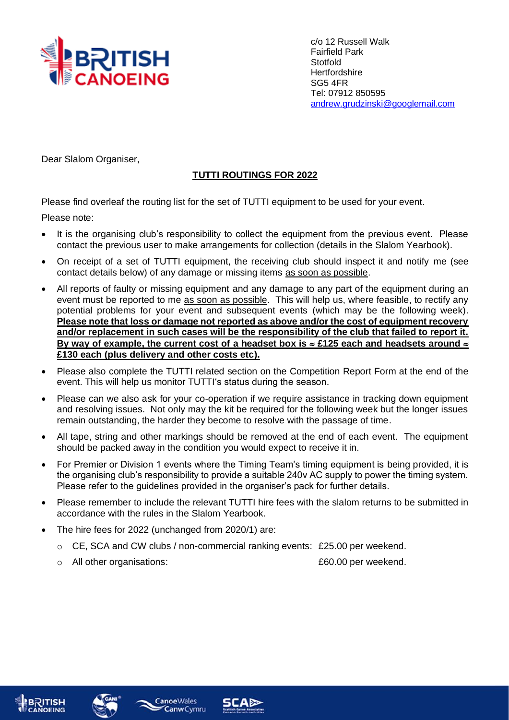

c/o 12 Russell Walk Fairfield Park **Stotfold Hertfordshire** SG5 4FR Tel: 07912 850595 [andrew.grudzinski@googlemail.com](mailto:andrew.grudzinski@googlemail.com)

Dear Slalom Organiser,

## **TUTTI ROUTINGS FOR 2022**

Please find overleaf the routing list for the set of TUTTI equipment to be used for your event.

Please note:

- It is the organising club's responsibility to collect the equipment from the previous event. Please contact the previous user to make arrangements for collection (details in the Slalom Yearbook).
- On receipt of a set of TUTTI equipment, the receiving club should inspect it and notify me (see contact details below) of any damage or missing items as soon as possible.
- All reports of faulty or missing equipment and any damage to any part of the equipment during an event must be reported to me as soon as possible. This will help us, where feasible, to rectify any potential problems for your event and subsequent events (which may be the following week). **Please note that loss or damage not reported as above and/or the cost of equipment recovery and/or replacement in such cases will be the responsibility of the club that failed to report it.**  By way of example, the current cost of a headset box is  $\approx$  £125 each and headsets around  $\approx$ **£130 each (plus delivery and other costs etc).**
- Please also complete the TUTTI related section on the Competition Report Form at the end of the event. This will help us monitor TUTTI's status during the season.
- Please can we also ask for your co-operation if we require assistance in tracking down equipment and resolving issues. Not only may the kit be required for the following week but the longer issues remain outstanding, the harder they become to resolve with the passage of time.
- All tape, string and other markings should be removed at the end of each event. The equipment should be packed away in the condition you would expect to receive it in.
- For Premier or Division 1 events where the Timing Team's timing equipment is being provided, it is the organising club's responsibility to provide a suitable 240v AC supply to power the timing system. Please refer to the guidelines provided in the organiser's pack for further details.
- Please remember to include the relevant TUTTI hire fees with the slalom returns to be submitted in accordance with the rules in the Slalom Yearbook.
- The hire fees for 2022 (unchanged from 2020/1) are:
	- o CE, SCA and CW clubs / non-commercial ranking events: £25.00 per weekend.
	- o All other organisations: £60.00 per weekend.